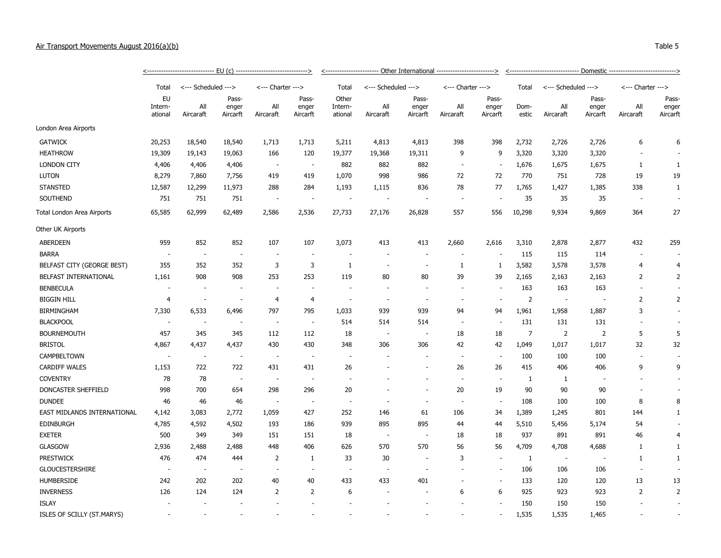| Air Transport Movements August 2016(a)(b)                                                                                                                                                                                      |                                                                                                     | Table 5 |
|--------------------------------------------------------------------------------------------------------------------------------------------------------------------------------------------------------------------------------|-----------------------------------------------------------------------------------------------------|---------|
|                                                                                                                                                                                                                                |                                                                                                     |         |
| The second contract of the contract of the contract of the contract of the contract of the contract of the contract of the contract of the contract of the contract of the contract of the contract of the contract of the con | t translation of Calculated and the Christian of the Translation of Calculated and the Christian of |         |

|                             | Total                    | <--- Scheduled --->      |                            |                          |                            | Total                       | <--- Scheduled --->      |                            |                          |                            | Total          | <--- Scheduled --->      |                            |                  |                            |
|-----------------------------|--------------------------|--------------------------|----------------------------|--------------------------|----------------------------|-----------------------------|--------------------------|----------------------------|--------------------------|----------------------------|----------------|--------------------------|----------------------------|------------------|----------------------------|
|                             | EU<br>Intern-<br>ational | All<br>Aircaraft         | Pass-<br>enger<br>Aircarft | All<br>Aircaraft         | Pass-<br>enger<br>Aircarft | Other<br>Intern-<br>ational | All<br>Aircaraft         | Pass-<br>enger<br>Aircarft | All<br>Aircaraft         | Pass-<br>enger<br>Aircarft | Dom-<br>estic  | All<br>Aircaraft         | Pass-<br>enger<br>Aircarft | All<br>Aircaraft | Pass-<br>enger<br>Aircarft |
| London Area Airports        |                          |                          |                            |                          |                            |                             |                          |                            |                          |                            |                |                          |                            |                  |                            |
| <b>GATWICK</b>              | 20,253                   | 18,540                   | 18,540                     | 1,713                    | 1,713                      | 5,211                       | 4,813                    | 4,813                      | 398                      | 398                        | 2,732          | 2,726                    | 2,726                      | 6                | 6                          |
| <b>HEATHROW</b>             | 19,309                   | 19,143                   | 19,063                     | 166                      | 120                        | 19,377                      | 19,368                   | 19,311                     | 9                        | 9                          | 3,320          | 3,320                    | 3,320                      |                  |                            |
| <b>LONDON CITY</b>          | 4,406                    | 4,406                    | 4,406                      | $\overline{\phantom{a}}$ | $\overline{\phantom{a}}$   | 882                         | 882                      | 882                        | ÷.                       | $\overline{\phantom{a}}$   | 1,676          | 1,675                    | 1,675                      | 1                | $\mathbf{1}$               |
| <b>LUTON</b>                | 8,279                    | 7,860                    | 7,756                      | 419                      | 419                        | 1,070                       | 998                      | 986                        | 72                       | 72                         | 770            | 751                      | 728                        | 19               | 19                         |
| <b>STANSTED</b>             | 12,587                   | 12,299                   | 11,973                     | 288                      | 284                        | 1,193                       | 1,115                    | 836                        | 78                       | 77                         | 1,765          | 1,427                    | 1,385                      | 338              | 1                          |
| SOUTHEND                    | 751                      | 751                      | 751                        | $\overline{\phantom{a}}$ | $\overline{\phantom{a}}$   | $\sim$                      |                          |                            | $\overline{\phantom{a}}$ |                            | 35             | 35                       | 35                         |                  | $\overline{\phantom{a}}$   |
| Total London Area Airports  | 65,585                   | 62,999                   | 62,489                     | 2,586                    | 2,536                      | 27,733                      | 27,176                   | 26,828                     | 557                      | 556                        | 10,298         | 9,934                    | 9,869                      | 364              | 27                         |
| Other UK Airports           |                          |                          |                            |                          |                            |                             |                          |                            |                          |                            |                |                          |                            |                  |                            |
| <b>ABERDEEN</b>             | 959                      | 852                      | 852                        | 107                      | 107                        | 3,073                       | 413                      | 413                        | 2,660                    | 2,616                      | 3,310          | 2,878                    | 2,877                      | 432              | 259                        |
| <b>BARRA</b>                | $\overline{\phantom{a}}$ | $\overline{\phantom{a}}$ | ٠.                         | $\overline{a}$           | ×.                         |                             |                          |                            |                          |                            | 115            | 115                      | 114                        |                  |                            |
| BELFAST CITY (GEORGE BEST)  | 355                      | 352                      | 352                        | 3                        | 3                          | $\mathbf{1}$                | $\overline{a}$           | $\overline{\phantom{a}}$   | 1                        | 1                          | 3,582          | 3,578                    | 3,578                      | $\overline{4}$   | $\overline{4}$             |
| BELFAST INTERNATIONAL       | 1,161                    | 908                      | 908                        | 253                      | 253                        | 119                         | 80                       | 80                         | 39                       | 39                         | 2,165          | 2,163                    | 2,163                      | 2                | $\overline{2}$             |
| <b>BENBECULA</b>            | $\overline{\phantom{a}}$ | $\overline{\phantom{a}}$ | $\overline{\phantom{a}}$   | $\overline{\phantom{a}}$ | $\overline{\phantom{a}}$   | $\sim$                      | $\overline{\phantom{a}}$ | $\overline{\phantom{a}}$   | $\sim$                   | $\overline{\phantom{a}}$   | 163            | 163                      | 163                        | $\sim$           |                            |
| <b>BIGGIN HILL</b>          | 4                        | $\sim$                   | $\sim$                     | 4                        | $\overline{4}$             | $\sim$                      | ÷.                       | ÷.                         | ÷,                       | $\overline{\phantom{a}}$   | $\overline{2}$ | $\sim$                   |                            | $\overline{2}$   | $\overline{2}$             |
| <b>BIRMINGHAM</b>           | 7,330                    | 6,533                    | 6,496                      | 797                      | 795                        | 1,033                       | 939                      | 939                        | 94                       | 94                         | 1,961          | 1,958                    | 1,887                      | 3                |                            |
| <b>BLACKPOOL</b>            | $\overline{\phantom{a}}$ | $\overline{\phantom{a}}$ | $\overline{\phantom{a}}$   | $\overline{\phantom{a}}$ | $\overline{\phantom{a}}$   | 514                         | 514                      | 514                        | $\overline{\phantom{a}}$ | $\overline{\phantom{a}}$   | 131            | 131                      | 131                        |                  | $\sim$                     |
| <b>BOURNEMOUTH</b>          | 457                      | 345                      | 345                        | 112                      | 112                        | 18                          | $\sim$                   | $\overline{\phantom{a}}$   | 18                       | 18                         | $\overline{7}$ | $\overline{2}$           | 2                          | 5                | 5                          |
| <b>BRISTOL</b>              | 4,867                    | 4,437                    | 4,437                      | 430                      | 430                        | 348                         | 306                      | 306                        | 42                       | 42                         | 1,049          | 1,017                    | 1,017                      | 32               | 32                         |
| CAMPBELTOWN                 | $\sim$                   | $\sim$                   | ÷,                         | $\overline{\phantom{a}}$ | $\sim$                     | $\sim$                      |                          | $\sim$                     | $\overline{\phantom{a}}$ | $\overline{\phantom{a}}$   | 100            | 100                      | 100                        | $\sim$           | $\sim$                     |
| <b>CARDIFF WALES</b>        | 1,153                    | 722                      | 722                        | 431                      | 431                        | 26                          |                          |                            | 26                       | 26                         | 415            | 406                      | 406                        | 9                | 9                          |
| <b>COVENTRY</b>             | 78                       | 78                       | $\overline{\phantom{a}}$   | $\overline{\phantom{a}}$ | $\overline{\phantom{a}}$   | $\sim$                      |                          |                            | ÷.                       | $\overline{\phantom{a}}$   | 1              | 1                        |                            |                  | $\overline{\phantom{a}}$   |
| DONCASTER SHEFFIELD         | 998                      | 700                      | 654                        | 298                      | 296                        | 20                          |                          | $\overline{a}$             | 20                       | 19                         | 90             | 90                       | 90                         |                  | $\overline{\phantom{a}}$   |
| <b>DUNDEE</b>               | 46                       | 46                       | 46                         | $\overline{\phantom{a}}$ | $\sim$                     | $\overline{\phantom{a}}$    |                          | $\overline{\phantom{a}}$   | $\overline{\phantom{a}}$ | $\overline{\phantom{a}}$   | 108            | 100                      | 100                        | 8                | 8                          |
| EAST MIDLANDS INTERNATIONAL | 4,142                    | 3,083                    | 2,772                      | 1,059                    | 427                        | 252                         | 146                      | 61                         | 106                      | 34                         | 1,389          | 1,245                    | 801                        | 144              | $\mathbf{1}$               |
| <b>EDINBURGH</b>            | 4,785                    | 4,592                    | 4,502                      | 193                      | 186                        | 939                         | 895                      | 895                        | 44                       | 44                         | 5,510          | 5,456                    | 5,174                      | 54               |                            |
| <b>EXETER</b>               | 500                      | 349                      | 349                        | 151                      | 151                        | 18                          | $\overline{\phantom{a}}$ | $\overline{\phantom{a}}$   | 18                       | 18                         | 937            | 891                      | 891                        | 46               | $\overline{4}$             |
| <b>GLASGOW</b>              | 2,936                    | 2,488                    | 2,488                      | 448                      | 406                        | 626                         | 570                      | 570                        | 56                       | 56                         | 4,709          | 4,708                    | 4,688                      | $\mathbf{1}$     | $\mathbf{1}$               |
| <b>PRESTWICK</b>            | 476                      | 474                      | 444                        | 2                        | 1                          | 33                          | 30                       |                            | 3                        |                            | $\mathbf{1}$   | $\overline{\phantom{a}}$ |                            | $\mathbf{1}$     | $\mathbf{1}$               |
| <b>GLOUCESTERSHIRE</b>      | $\sim$                   | $\overline{\phantom{a}}$ | $\overline{\phantom{a}}$   | $\overline{a}$           | $\sim$                     | $\sim$                      |                          | $\overline{a}$             | ÷.                       |                            | 106            | 106                      | 106                        | $\sim$           |                            |
| HUMBERSIDE                  | 242                      | 202                      | 202                        | 40                       | 40                         | 433                         | 433                      | 401                        | $\overline{\phantom{a}}$ | $\overline{\phantom{a}}$   | 133            | 120                      | 120                        | 13               | 13                         |
| <b>INVERNESS</b>            | 126                      | 124                      | 124                        | $\overline{2}$           | $\overline{2}$             | 6                           |                          |                            | 6                        | 6                          | 925            | 923                      | 923                        | 2                | $\overline{2}$             |
| <b>ISLAY</b>                |                          |                          |                            |                          |                            |                             |                          |                            |                          |                            | 150            | 150                      | 150                        |                  |                            |
| ISLES OF SCILLY (ST.MARYS)  |                          |                          | ÷,                         | ÷,                       | $\overline{\phantom{a}}$   |                             |                          | $\overline{\phantom{a}}$   | ÷,                       | ٠                          | 1,535          | 1,535                    | 1,465                      |                  | $\overline{\phantom{a}}$   |